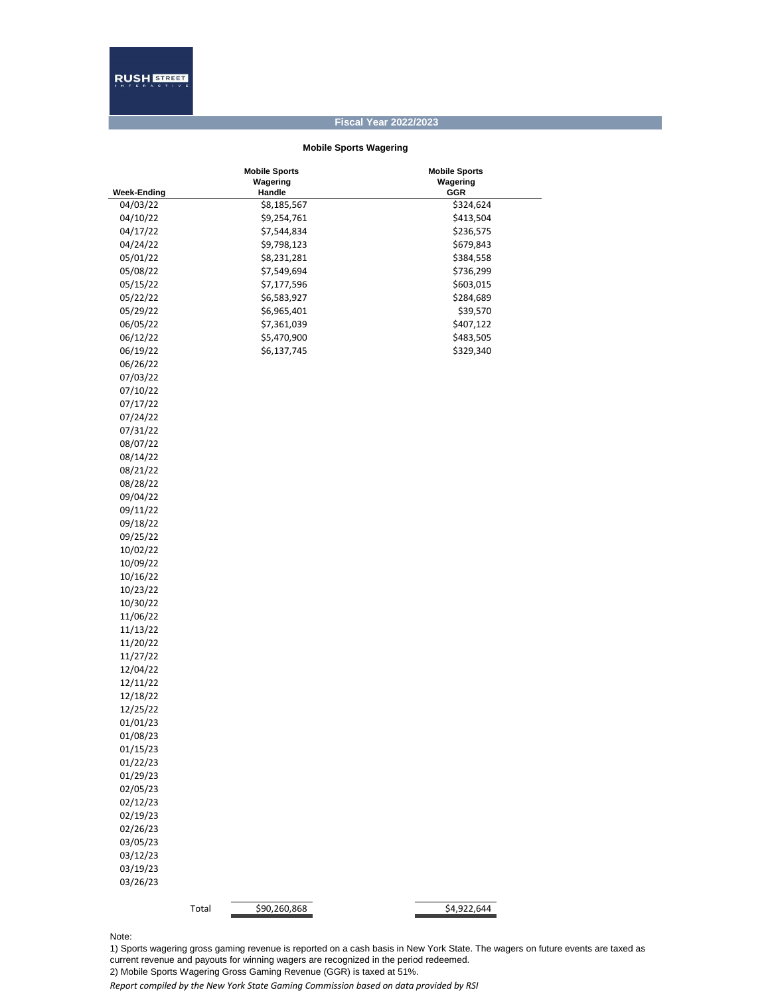## **Fiscal Year 2022/2023**

## **Mobile Sports Wagering**

|                      | <b>Mobile Sports</b>  | <b>Mobile Sports</b> |
|----------------------|-----------------------|----------------------|
|                      | Wagering              | Wagering             |
| <b>Week-Ending</b>   | Handle                | <b>GGR</b>           |
| 04/03/22<br>04/10/22 | \$8,185,567           | \$324,624            |
|                      | \$9,254,761           | \$413,504            |
| 04/17/22             | \$7,544,834           | \$236,575            |
| 04/24/22             | \$9,798,123           | \$679,843            |
| 05/01/22             | \$8,231,281           | \$384,558            |
| 05/08/22             | \$7,549,694           | \$736,299            |
| 05/15/22             | \$7,177,596           | \$603,015            |
| 05/22/22             | \$6,583,927           | \$284,689            |
| 05/29/22             | \$6,965,401           | \$39,570             |
| 06/05/22             | \$7,361,039           | \$407,122            |
| 06/12/22             | \$5,470,900           | \$483,505            |
| 06/19/22             | \$6,137,745           | \$329,340            |
| 06/26/22             |                       |                      |
| 07/03/22             |                       |                      |
| 07/10/22             |                       |                      |
| 07/17/22             |                       |                      |
| 07/24/22             |                       |                      |
| 07/31/22             |                       |                      |
| 08/07/22             |                       |                      |
| 08/14/22             |                       |                      |
| 08/21/22             |                       |                      |
| 08/28/22             |                       |                      |
| 09/04/22             |                       |                      |
| 09/11/22             |                       |                      |
| 09/18/22             |                       |                      |
| 09/25/22             |                       |                      |
| 10/02/22             |                       |                      |
| 10/09/22             |                       |                      |
| 10/16/22             |                       |                      |
| 10/23/22             |                       |                      |
| 10/30/22             |                       |                      |
| 11/06/22             |                       |                      |
| 11/13/22             |                       |                      |
| 11/20/22             |                       |                      |
| 11/27/22             |                       |                      |
| 12/04/22             |                       |                      |
| 12/11/22             |                       |                      |
| 12/18/22             |                       |                      |
| 12/25/22             |                       |                      |
| 01/01/23             |                       |                      |
| 01/08/23             |                       |                      |
| 01/15/23             |                       |                      |
| 01/22/23             |                       |                      |
| 01/29/23             |                       |                      |
| 02/05/23             |                       |                      |
| 02/12/23             |                       |                      |
| 02/19/23             |                       |                      |
| 02/26/23             |                       |                      |
| 03/05/23             |                       |                      |
| 03/12/23             |                       |                      |
| 03/19/23             |                       |                      |
| 03/26/23             |                       |                      |
|                      |                       |                      |
|                      | \$90,260,868<br>Total | \$4,922,644          |

Note:

1) Sports wagering gross gaming revenue is reported on a cash basis in New York State. The wagers on future events are taxed as current revenue and payouts for winning wagers are recognized in the period redeemed. 2) Mobile Sports Wagering Gross Gaming Revenue (GGR) is taxed at 51%.

*Report compiled by the New York State Gaming Commission based on data provided by RSI*